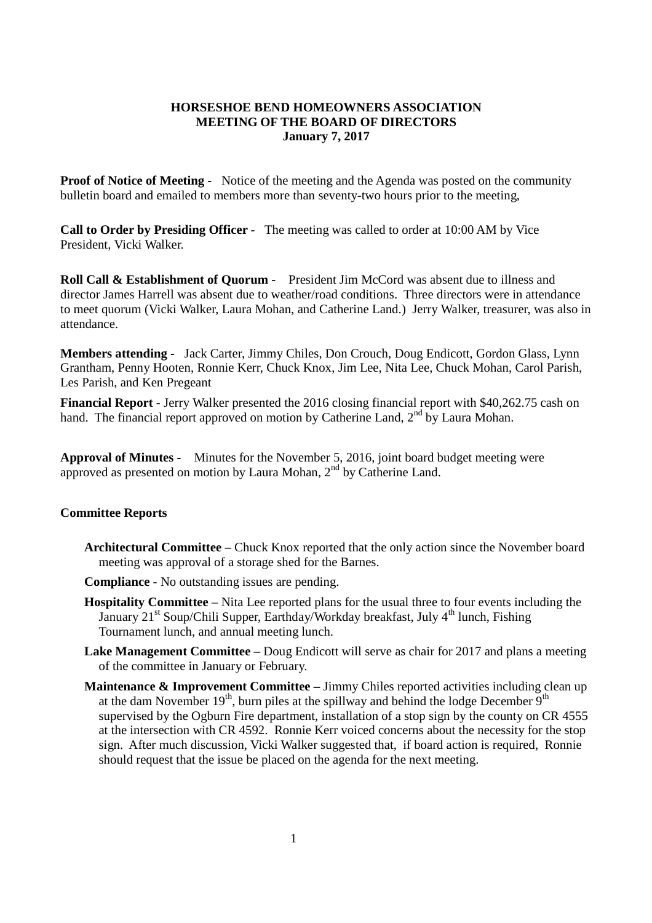## **HORSESHOE BEND HOMEOWNERS ASSOCIATION MEETING OF THE BOARD OF DIRECTORS January 7, 2017**

**Proof of Notice of Meeting -** Notice of the meeting and the Agenda was posted on the community bulletin board and emailed to members more than seventy-two hours prior to the meeting,

**Call to Order by Presiding Officer -** The meeting was called to order at 10:00 AM by Vice President, Vicki Walker.

**Roll Call & Establishment of Quorum -** President Jim McCord was absent due to illness and director James Harrell was absent due to weather/road conditions. Three directors were in attendance to meet quorum (Vicki Walker, Laura Mohan, and Catherine Land.) Jerry Walker, treasurer, was also in attendance.

**Members attending -** Jack Carter, Jimmy Chiles, Don Crouch, Doug Endicott, Gordon Glass, Lynn Grantham, Penny Hooten, Ronnie Kerr, Chuck Knox, Jim Lee, Nita Lee, Chuck Mohan, Carol Parish, Les Parish, and Ken Pregeant

**Financial Report -** Jerry Walker presented the 2016 closing financial report with \$40,262.75 cash on hand. The financial report approved on motion by Catherine Land, 2<sup>nd</sup> by Laura Mohan.

**Approval of Minutes -** Minutes for the November 5, 2016, joint board budget meeting were approved as presented on motion by Laura Mohan, 2<sup>nd</sup> by Catherine Land.

## **Committee Reports**

- **Architectural Committee** Chuck Knox reported that the only action since the November board meeting was approval of a storage shed for the Barnes.
- **Compliance -** No outstanding issues are pending.
- **Hospitality Committee** Nita Lee reported plans for the usual three to four events including the January  $21^{st}$  Soup/Chili Supper, Earthday/Workday breakfast, July  $4^{th}$  lunch, Fishing Tournament lunch, and annual meeting lunch.
- **Lake Management Committee** Doug Endicott will serve as chair for 2017 and plans a meeting of the committee in January or February.
- **Maintenance & Improvement Committee –** Jimmy Chiles reported activities including clean up at the dam November  $19<sup>th</sup>$ , burn piles at the spillway and behind the lodge December  $9<sup>th</sup>$ supervised by the Ogburn Fire department, installation of a stop sign by the county on CR 4555 at the intersection with CR 4592. Ronnie Kerr voiced concerns about the necessity for the stop sign. After much discussion, Vicki Walker suggested that, if board action is required, Ronnie should request that the issue be placed on the agenda for the next meeting.